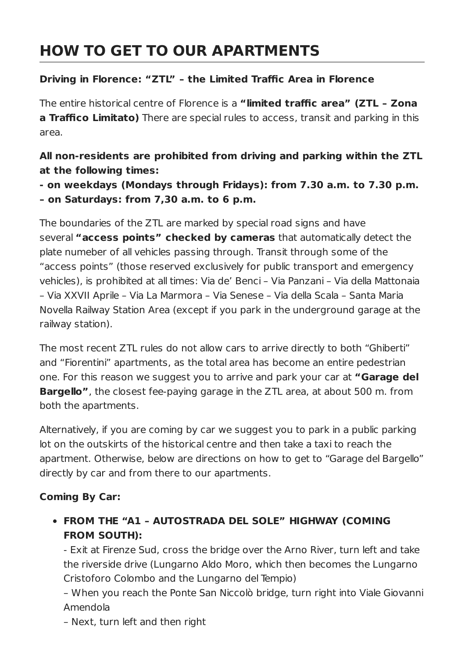# **HOW TO GET TO OUR APARTMENTS**

## **Driving in Florence: "ZTL" – the Limited Traffic Area in Florence**

The entire historical centre of Florence is a **"limited traffic area" (ZTL – Zona a Traffico Limitato)** There are special rules to access, transit and parking in this area.

**All non-residents are prohibited from driving and parking within the ZTL at the following times:**

**- on weekdays (Mondays through Fridays): from 7.30 a.m. to 7.30 p.m. – on Saturdays: from 7,30 a.m. to 6 p.m.**

The boundaries of the ZTL are marked by special road signs and have several **"access points" checked by cameras** that automatically detect the plate numeber of all vehicles passing through. Transit through some of the "access points" (those reserved exclusively for public transport and emergency vehicles), is prohibited at all times: Via de' Benci – Via Panzani – Via della Mattonaia – Via XXVII Aprile – Via La Marmora – Via Senese – Via della Scala – Santa Maria Novella Railway Station Area (except if you park in the underground garage at the railway station).

The most recent ZTL rules do not allow cars to arrive directly to both "Ghiberti" and "Fiorentini" apartments, as the total area has become an entire pedestrian one. For this reason we suggest you to arrive and park your car at **"Garage del Bargello"**, the closest fee-paying garage in the ZTL area, at about 500 m. from both the apartments.

Alternatively, if you are coming by car we suggest you to park in a public parking lot on the outskirts of the historical centre and then take a taxi to reach the apartment. Otherwise, below are directions on how to get to "Garage del Bargello" directly by car and from there to our apartments.

## **Coming By Car:**

**FROM THE "A1 – AUTOSTRADA DEL SOLE" HIGHWAY (COMING FROM SOUTH):**

- Exit at Firenze Sud, cross the bridge over the Arno River, turn left and take the riverside drive (Lungarno Aldo Moro, which then becomes the Lungarno Cristoforo Colombo and the Lungarno del Tempio)

– When you reach the Ponte San Niccolò bridge, turn right into Viale Giovanni Amendola

– Next, turn left and then right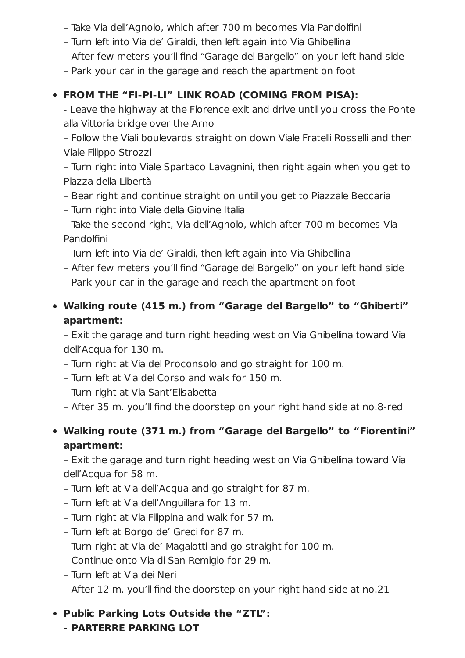– Take Via dell'Agnolo, which after 700 m becomes Via Pandolfini

- Turn left into Via de' Giraldi, then left again into Via Ghibellina
- After few meters you'll find "Garage del Bargello" on your left hand side
- Park your car in the garage and reach the apartment on foot

## **FROM THE "FI-PI-LI" LINK ROAD (COMING FROM PISA):**

- Leave the highway at the Florence exit and drive until you cross the Ponte alla Vittoria bridge over the Arno

– Follow the Viali boulevards straight on down Viale Fratelli Rosselli and then Viale Filippo Strozzi

– Turn right into Viale Spartaco Lavagnini, then right again when you get to Piazza della Libertà

- Bear right and continue straight on until you get to Piazzale Beccaria
- Turn right into Viale della Giovine Italia

– Take the second right, Via dell'Agnolo, which after 700 m becomes Via Pandolfini

- Turn left into Via de' Giraldi, then left again into Via Ghibellina
- After few meters you'll find "Garage del Bargello" on your left hand side
- Park your car in the garage and reach the apartment on foot

## **Walking route (415 m.) from "Garage del Bargello" to "Ghiberti" apartment:**

– Exit the garage and turn right heading west on Via Ghibellina toward Via dell'Acqua for 130 m.

- Turn right at Via del Proconsolo and go straight for 100 m.
- Turn left at Via del Corso and walk for 150 m.
- Turn right at Via Sant'Elisabetta
- After 35 m. you'll find the doorstep on your right hand side at no.8-red

## **Walking route (371 m.) from "Garage del Bargello" to "Fiorentini" apartment:**

– Exit the garage and turn right heading west on Via Ghibellina toward Via dell'Acqua for 58 m.

- Turn left at Via dell'Acqua and go straight for 87 m.
- Turn left at Via dell'Anguillara for 13 m.
- Turn right at Via Filippina and walk for 57 m.
- Turn left at Borgo de' Greci for 87 m.
- Turn right at Via de' Magalotti and go straight for 100 m.
- Continue onto Via di San Remigio for 29 m.
- Turn left at Via dei Neri
- After 12 m. you'll find the doorstep on your right hand side at no.21
- **Public Parking Lots Outside the "ZTL": - PARTERRE PARKING LOT**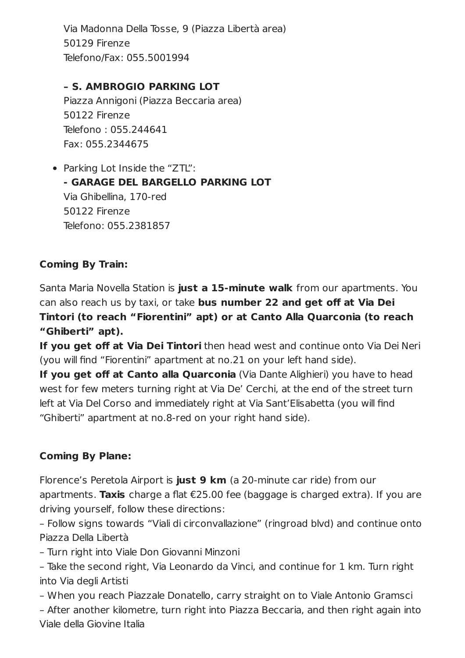Via Madonna Della Tosse, 9 (Piazza Libertà area) 50129 Firenze Telefono/Fax: 055.5001994

## **– S. AMBROGIO PARKING LOT**

Piazza Annigoni (Piazza Beccaria area) 50122 Firenze Telefono : 055.244641 Fax: 055.2344675

• Parking Lot Inside the "ZTL": **- GARAGE DEL BARGELLO PARKING LOT** Via Ghibellina, 170-red 50122 Firenze Telefono: 055.2381857

## **Coming By Train:**

Santa Maria Novella Station is **just a 15-minute walk** from our apartments. You can also reach us by taxi, or take **bus number 22 and get off at Via Dei Tintori (to reach "Fiorentini" apt) or at Canto Alla Quarconia (to reach "Ghiberti" apt).**

**If you get off at Via Dei Tintori** then head west and continue onto Via Dei Neri (you will find "Fiorentini" apartment at no.21 on your left hand side).

**If you get off at Canto alla Quarconia** (Via Dante Alighieri) you have to head west for few meters turning right at Via De' Cerchi, at the end of the street turn left at Via Del Corso and immediately right at Via Sant'Elisabetta (you will find "Ghiberti" apartment at no.8-red on your right hand side).

## **Coming By Plane:**

Florence's Peretola Airport is **just 9 km** (a 20-minute car ride) from our apartments. **Taxis** charge a flat €25.00 fee (baggage is charged extra). If you are driving yourself, follow these directions:

– Follow signs towards "Viali di circonvallazione" (ringroad blvd) and continue onto Piazza Della Libertà

– Turn right into Viale Don Giovanni Minzoni

– Take the second right, Via Leonardo da Vinci, and continue for 1 km. Turn right into Via degli Artisti

– When you reach Piazzale Donatello, carry straight on to Viale Antonio Gramsci

– After another kilometre, turn right into Piazza Beccaria, and then right again into Viale della Giovine Italia